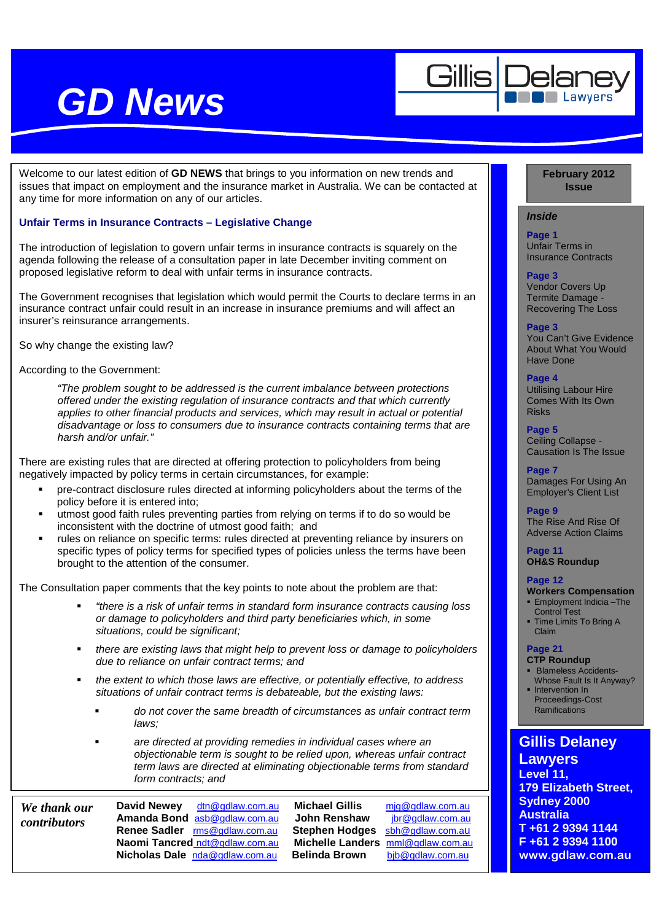

Welcome to our latest edition of **GD NEWS** that brings to you information on new trends and issues that impact on employment and the insurance market in Australia. We can be contacted at any time for more information on any of our articles.

## **Unfair Terms in Insurance Contracts – Legislative Change**

The introduction of legislation to govern unfair terms in insurance contracts is squarely on the agenda following the release of a consultation paper in late December inviting comment on proposed legislative reform to deal with unfair terms in insurance contracts.

The Government recognises that legislation which would permit the Courts to declare terms in an insurance contract unfair could result in an increase in insurance premiums and will affect an insurer's reinsurance arrangements.

So why change the existing law?

According to the Government:

"The problem sought to be addressed is the current imbalance between protections offered under the existing regulation of insurance contracts and that which currently applies to other financial products and services, which may result in actual or potential disadvantage or loss to consumers due to insurance contracts containing terms that are harsh and/or unfair."

There are existing rules that are directed at offering protection to policyholders from being negatively impacted by policy terms in certain circumstances, for example:

- pre-contract disclosure rules directed at informing policyholders about the terms of the policy before it is entered into;
- utmost good faith rules preventing parties from relying on terms if to do so would be inconsistent with the doctrine of utmost good faith; and
- rules on reliance on specific terms: rules directed at preventing reliance by insurers on specific types of policy terms for specified types of policies unless the terms have been brought to the attention of the consumer.

The Consultation paper comments that the key points to note about the problem are that:

- "there is a risk of unfair terms in standard form insurance contracts causing loss or damage to policyholders and third party beneficiaries which, in some situations, could be significant;
- there are existing laws that might help to prevent loss or damage to policyholders due to reliance on unfair contract terms; and
- the extent to which those laws are effective, or potentially effective, to address situations of unfair contract terms is debateable, but the existing laws:
	- **do not cover the same breadth of circumstances as unfair contract term** laws;
	- are directed at providing remedies in individual cases where an objectionable term is sought to be relied upon, whereas unfair contract term laws are directed at eliminating objectionable terms from standard form contracts; and

*We thank our contributors* 

**David Newey** dtn@gdlaw.com.au **Michael Gillis** mjg@gdlaw.com.au Amanda Bond asb@gdlaw.com.au **John Renshaw** <u>jbr@gdlaw.com.au</u> Renee Sadler <u>rms@gdlaw.com.au</u> **Stephen Hodges** sbh@gdlaw.com.au **Renee Sadler** rms@gdlaw.com.au **Stephen Hodges** sbh@gdlaw.com.au **Nicholas Dale** nda@gdlaw.com.au

**Nichelle Landers** mml@gdlaw.com.au **Belinda Brown bio bio** gdlaw.com.au

### **February 2012 Issue**

## **Inside**

**Page 1**  Unfair Terms in Insurance Contracts

### **Page 3**

Vendor Covers Up Termite Damage - Recovering The Loss

### **Page 3**

You Can't Give Evidence About What You Would Have Done

### **Page 4**

Utilising Labour Hire Comes With Its Own Risks

### **Page 5**

Ceiling Collapse - Causation Is The Issue

**Page 7**  Damages For Using An Employer's Client List

**Page 9**  The Rise And Rise Of Adverse Action Claims

#### **Page 11 OH&S Roundup**

#### **Page 12**

- **Workers Compensation Employment Indicia-The** Control Test
- **Time Limits To Bring A** Claim

### **Page 21**

### **CTP Roundup**

- **Blameless Accidents-**Whose Fault Is It Anyway?
- **Intervention In** Proceedings-Cost **Ramifications**

## **Gillis Delaney Lawyers Level 11, 179 Elizabeth Street, Sydney 2000**

**Australia T +61 2 9394 1144 F +61 2 9394 1100 www.gdlaw.com.au**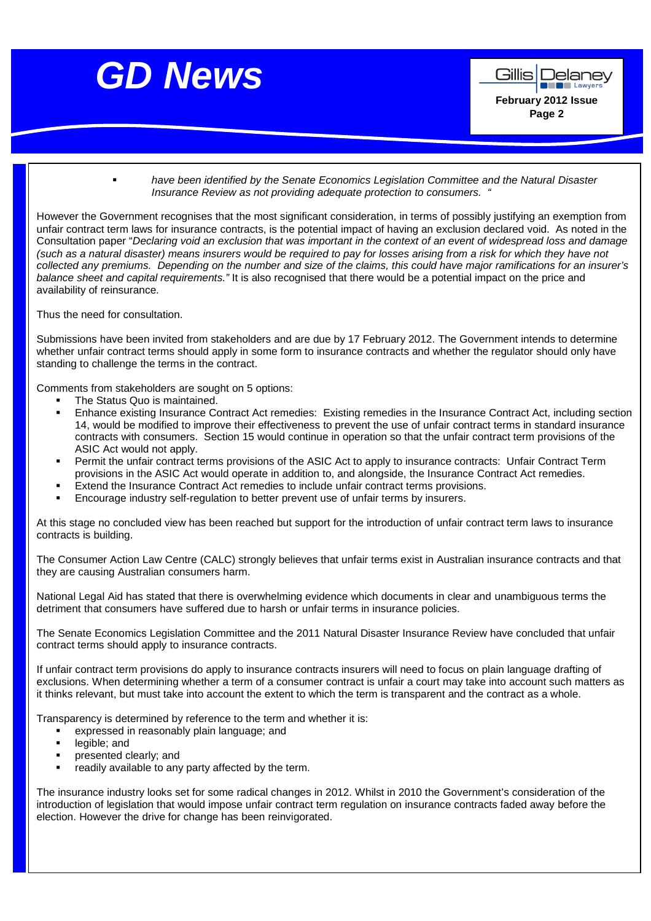

 have been identified by the Senate Economics Legislation Committee and the Natural Disaster Insurance Review as not providing adequate protection to consumers. "

However the Government recognises that the most significant consideration, in terms of possibly justifying an exemption from unfair contract term laws for insurance contracts, is the potential impact of having an exclusion declared void. As noted in the Consultation paper "Declaring void an exclusion that was important in the context of an event of widespread loss and damage (such as a natural disaster) means insurers would be required to pay for losses arising from a risk for which they have not collected any premiums. Depending on the number and size of the claims, this could have major ramifications for an insurer's balance sheet and capital requirements." It is also recognised that there would be a potential impact on the price and availability of reinsurance.

Thus the need for consultation.

Submissions have been invited from stakeholders and are due by 17 February 2012. The Government intends to determine whether unfair contract terms should apply in some form to insurance contracts and whether the regulator should only have standing to challenge the terms in the contract.

Comments from stakeholders are sought on 5 options:

- The Status Quo is maintained.
- Enhance existing Insurance Contract Act remedies: Existing remedies in the Insurance Contract Act, including section 14, would be modified to improve their effectiveness to prevent the use of unfair contract terms in standard insurance contracts with consumers. Section 15 would continue in operation so that the unfair contract term provisions of the ASIC Act would not apply.
- Permit the unfair contract terms provisions of the ASIC Act to apply to insurance contracts: Unfair Contract Term provisions in the ASIC Act would operate in addition to, and alongside, the Insurance Contract Act remedies.
- Extend the Insurance Contract Act remedies to include unfair contract terms provisions.
- Encourage industry self-regulation to better prevent use of unfair terms by insurers.

At this stage no concluded view has been reached but support for the introduction of unfair contract term laws to insurance contracts is building.

The Consumer Action Law Centre (CALC) strongly believes that unfair terms exist in Australian insurance contracts and that they are causing Australian consumers harm.

National Legal Aid has stated that there is overwhelming evidence which documents in clear and unambiguous terms the detriment that consumers have suffered due to harsh or unfair terms in insurance policies.

The Senate Economics Legislation Committee and the 2011 Natural Disaster Insurance Review have concluded that unfair contract terms should apply to insurance contracts.

If unfair contract term provisions do apply to insurance contracts insurers will need to focus on plain language drafting of exclusions. When determining whether a term of a consumer contract is unfair a court may take into account such matters as it thinks relevant, but must take into account the extent to which the term is transparent and the contract as a whole.

Transparency is determined by reference to the term and whether it is:

- expressed in reasonably plain language; and
- **-** legible; and
- **Presented clearly; and**
- readily available to any party affected by the term.

The insurance industry looks set for some radical changes in 2012. Whilst in 2010 the Government's consideration of the introduction of legislation that would impose unfair contract term regulation on insurance contracts faded away before the election. However the drive for change has been reinvigorated.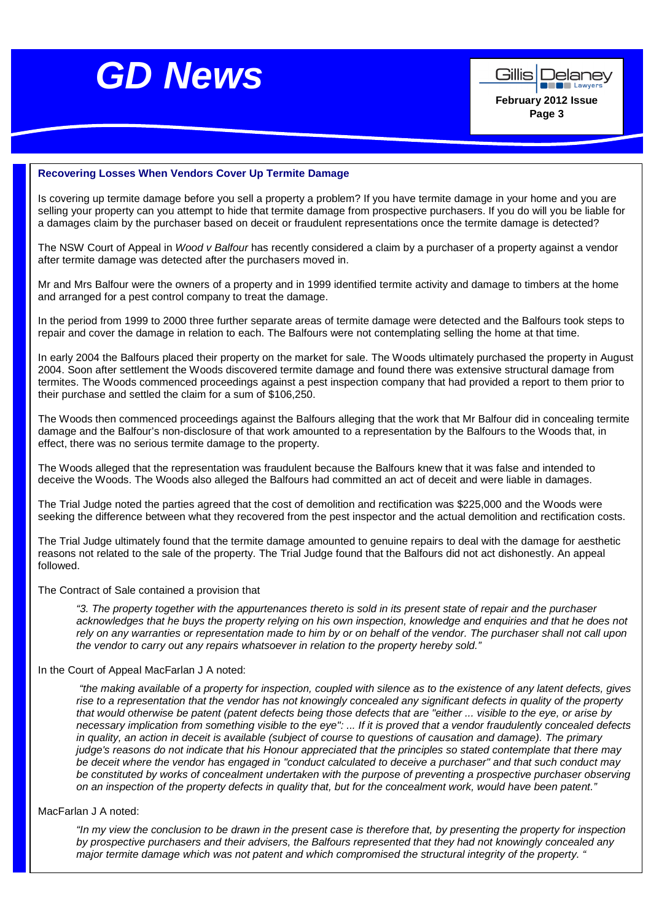



### **Recovering Losses When Vendors Cover Up Termite Damage**

Is covering up termite damage before you sell a property a problem? If you have termite damage in your home and you are selling your property can you attempt to hide that termite damage from prospective purchasers. If you do will you be liable for a damages claim by the purchaser based on deceit or fraudulent representations once the termite damage is detected?

The NSW Court of Appeal in Wood v Balfour has recently considered a claim by a purchaser of a property against a vendor after termite damage was detected after the purchasers moved in.

Mr and Mrs Balfour were the owners of a property and in 1999 identified termite activity and damage to timbers at the home and arranged for a pest control company to treat the damage.

In the period from 1999 to 2000 three further separate areas of termite damage were detected and the Balfours took steps to repair and cover the damage in relation to each. The Balfours were not contemplating selling the home at that time.

In early 2004 the Balfours placed their property on the market for sale. The Woods ultimately purchased the property in August 2004. Soon after settlement the Woods discovered termite damage and found there was extensive structural damage from termites. The Woods commenced proceedings against a pest inspection company that had provided a report to them prior to their purchase and settled the claim for a sum of \$106,250.

The Woods then commenced proceedings against the Balfours alleging that the work that Mr Balfour did in concealing termite damage and the Balfour's non-disclosure of that work amounted to a representation by the Balfours to the Woods that, in effect, there was no serious termite damage to the property.

The Woods alleged that the representation was fraudulent because the Balfours knew that it was false and intended to deceive the Woods. The Woods also alleged the Balfours had committed an act of deceit and were liable in damages.

The Trial Judge noted the parties agreed that the cost of demolition and rectification was \$225,000 and the Woods were seeking the difference between what they recovered from the pest inspector and the actual demolition and rectification costs.

The Trial Judge ultimately found that the termite damage amounted to genuine repairs to deal with the damage for aesthetic reasons not related to the sale of the property. The Trial Judge found that the Balfours did not act dishonestly. An appeal followed.

#### The Contract of Sale contained a provision that

"3. The property together with the appurtenances thereto is sold in its present state of repair and the purchaser acknowledges that he buys the property relying on his own inspection, knowledge and enquiries and that he does not rely on any warranties or representation made to him by or on behalf of the vendor. The purchaser shall not call upon the vendor to carry out any repairs whatsoever in relation to the property hereby sold."

### In the Court of Appeal MacFarlan J A noted:

 "the making available of a property for inspection, coupled with silence as to the existence of any latent defects, gives rise to a representation that the vendor has not knowingly concealed any significant defects in quality of the property that would otherwise be patent (patent defects being those defects that are "either ... visible to the eye, or arise by necessary implication from something visible to the eye": ... If it is proved that a vendor fraudulently concealed defects in quality, an action in deceit is available (subject of course to questions of causation and damage). The primary judge's reasons do not indicate that his Honour appreciated that the principles so stated contemplate that there may be deceit where the vendor has engaged in "conduct calculated to deceive a purchaser" and that such conduct may be constituted by works of concealment undertaken with the purpose of preventing a prospective purchaser observing on an inspection of the property defects in quality that, but for the concealment work, would have been patent."

### MacFarlan J A noted:

"In my view the conclusion to be drawn in the present case is therefore that, by presenting the property for inspection by prospective purchasers and their advisers, the Balfours represented that they had not knowingly concealed any major termite damage which was not patent and which compromised the structural integrity of the property. "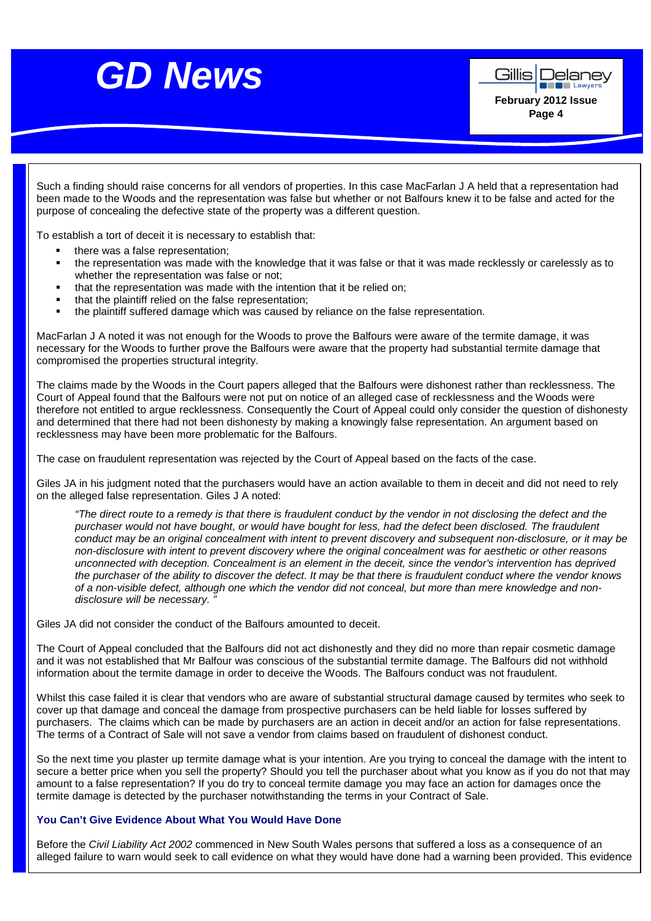

**DE Lawyer February 2012 Issue Page 4** 

Gillis Delanev

Such a finding should raise concerns for all vendors of properties. In this case MacFarlan J A held that a representation had been made to the Woods and the representation was false but whether or not Balfours knew it to be false and acted for the purpose of concealing the defective state of the property was a different question.

To establish a tort of deceit it is necessary to establish that:

- there was a false representation;
- the representation was made with the knowledge that it was false or that it was made recklessly or carelessly as to whether the representation was false or not;
- that the representation was made with the intention that it be relied on;
- that the plaintiff relied on the false representation;
- the plaintiff suffered damage which was caused by reliance on the false representation.

MacFarlan J A noted it was not enough for the Woods to prove the Balfours were aware of the termite damage, it was necessary for the Woods to further prove the Balfours were aware that the property had substantial termite damage that compromised the properties structural integrity.

The claims made by the Woods in the Court papers alleged that the Balfours were dishonest rather than recklessness. The Court of Appeal found that the Balfours were not put on notice of an alleged case of recklessness and the Woods were therefore not entitled to argue recklessness. Consequently the Court of Appeal could only consider the question of dishonesty and determined that there had not been dishonesty by making a knowingly false representation. An argument based on recklessness may have been more problematic for the Balfours.

The case on fraudulent representation was rejected by the Court of Appeal based on the facts of the case.

Giles JA in his judgment noted that the purchasers would have an action available to them in deceit and did not need to rely on the alleged false representation. Giles J A noted:

"The direct route to a remedy is that there is fraudulent conduct by the vendor in not disclosing the defect and the purchaser would not have bought, or would have bought for less, had the defect been disclosed. The fraudulent conduct may be an original concealment with intent to prevent discovery and subsequent non-disclosure, or it may be non-disclosure with intent to prevent discovery where the original concealment was for aesthetic or other reasons unconnected with deception. Concealment is an element in the deceit, since the vendor's intervention has deprived the purchaser of the ability to discover the defect. It may be that there is fraudulent conduct where the vendor knows of a non-visible defect, although one which the vendor did not conceal, but more than mere knowledge and nondisclosure will be necessary.

Giles JA did not consider the conduct of the Balfours amounted to deceit.

The Court of Appeal concluded that the Balfours did not act dishonestly and they did no more than repair cosmetic damage and it was not established that Mr Balfour was conscious of the substantial termite damage. The Balfours did not withhold information about the termite damage in order to deceive the Woods. The Balfours conduct was not fraudulent.

Whilst this case failed it is clear that vendors who are aware of substantial structural damage caused by termites who seek to cover up that damage and conceal the damage from prospective purchasers can be held liable for losses suffered by purchasers. The claims which can be made by purchasers are an action in deceit and/or an action for false representations. The terms of a Contract of Sale will not save a vendor from claims based on fraudulent of dishonest conduct.

So the next time you plaster up termite damage what is your intention. Are you trying to conceal the damage with the intent to secure a better price when you sell the property? Should you tell the purchaser about what you know as if you do not that may amount to a false representation? If you do try to conceal termite damage you may face an action for damages once the termite damage is detected by the purchaser notwithstanding the terms in your Contract of Sale.

### **You Can't Give Evidence About What You Would Have Done**

Before the Civil Liability Act 2002 commenced in New South Wales persons that suffered a loss as a consequence of an alleged failure to warn would seek to call evidence on what they would have done had a warning been provided. This evidence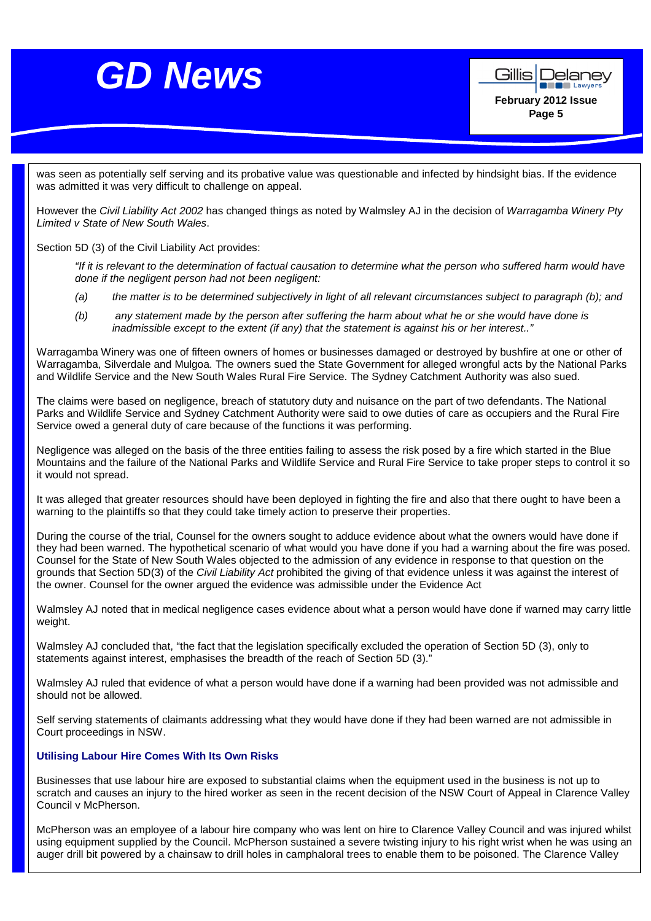

was seen as potentially self serving and its probative value was questionable and infected by hindsight bias. If the evidence was admitted it was very difficult to challenge on appeal.

However the Civil Liability Act 2002 has changed things as noted by Walmsley AJ in the decision of Warragamba Winery Pty Limited v State of New South Wales.

Section 5D (3) of the Civil Liability Act provides:

"If it is relevant to the determination of factual causation to determine what the person who suffered harm would have done if the negligent person had not been negligent:

- (a) the matter is to be determined subjectively in light of all relevant circumstances subject to paragraph (b); and
- (b) any statement made by the person after suffering the harm about what he or she would have done is inadmissible except to the extent (if any) that the statement is against his or her interest.."

Warragamba Winery was one of fifteen owners of homes or businesses damaged or destroyed by bushfire at one or other of Warragamba, Silverdale and Mulgoa. The owners sued the State Government for alleged wrongful acts by the National Parks and Wildlife Service and the New South Wales Rural Fire Service. The Sydney Catchment Authority was also sued.

The claims were based on negligence, breach of statutory duty and nuisance on the part of two defendants. The National Parks and Wildlife Service and Sydney Catchment Authority were said to owe duties of care as occupiers and the Rural Fire Service owed a general duty of care because of the functions it was performing.

Negligence was alleged on the basis of the three entities failing to assess the risk posed by a fire which started in the Blue Mountains and the failure of the National Parks and Wildlife Service and Rural Fire Service to take proper steps to control it so it would not spread.

It was alleged that greater resources should have been deployed in fighting the fire and also that there ought to have been a warning to the plaintiffs so that they could take timely action to preserve their properties.

During the course of the trial, Counsel for the owners sought to adduce evidence about what the owners would have done if they had been warned. The hypothetical scenario of what would you have done if you had a warning about the fire was posed. Counsel for the State of New South Wales objected to the admission of any evidence in response to that question on the grounds that Section 5D(3) of the Civil Liability Act prohibited the giving of that evidence unless it was against the interest of the owner. Counsel for the owner argued the evidence was admissible under the Evidence Act

Walmsley AJ noted that in medical negligence cases evidence about what a person would have done if warned may carry little weight.

Walmsley AJ concluded that, "the fact that the legislation specifically excluded the operation of Section 5D (3), only to statements against interest, emphasises the breadth of the reach of Section 5D (3)."

Walmsley AJ ruled that evidence of what a person would have done if a warning had been provided was not admissible and should not be allowed.

Self serving statements of claimants addressing what they would have done if they had been warned are not admissible in Court proceedings in NSW.

### **Utilising Labour Hire Comes With Its Own Risks**

Businesses that use labour hire are exposed to substantial claims when the equipment used in the business is not up to scratch and causes an injury to the hired worker as seen in the recent decision of the NSW Court of Appeal in Clarence Valley Council v McPherson.

McPherson was an employee of a labour hire company who was lent on hire to Clarence Valley Council and was injured whilst using equipment supplied by the Council. McPherson sustained a severe twisting injury to his right wrist when he was using an auger drill bit powered by a chainsaw to drill holes in camphaloral trees to enable them to be poisoned. The Clarence Valley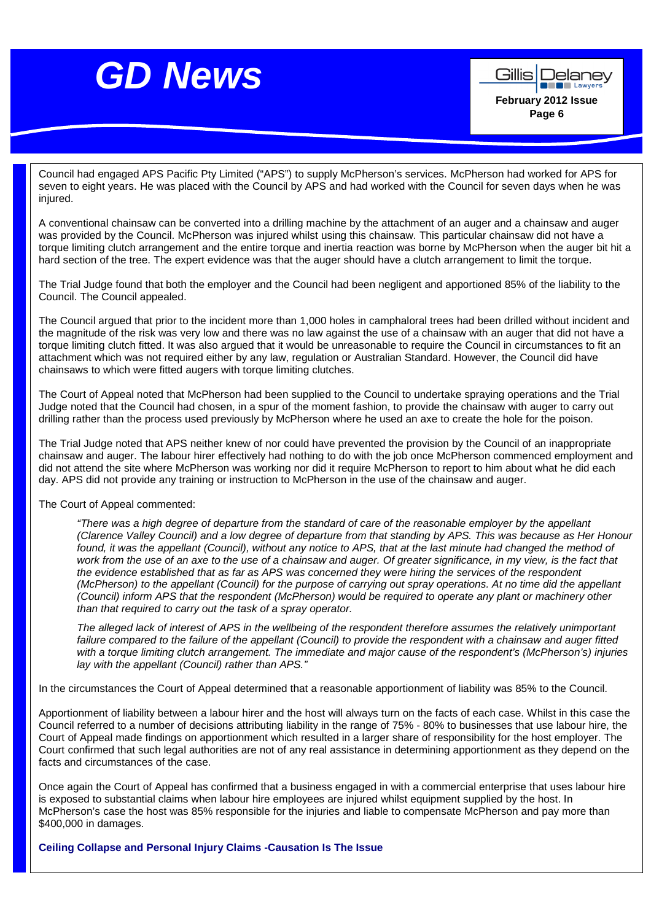

Council had engaged APS Pacific Pty Limited ("APS") to supply McPherson's services. McPherson had worked for APS for seven to eight years. He was placed with the Council by APS and had worked with the Council for seven days when he was injured.

A conventional chainsaw can be converted into a drilling machine by the attachment of an auger and a chainsaw and auger was provided by the Council. McPherson was injured whilst using this chainsaw. This particular chainsaw did not have a torque limiting clutch arrangement and the entire torque and inertia reaction was borne by McPherson when the auger bit hit a hard section of the tree. The expert evidence was that the auger should have a clutch arrangement to limit the torque.

The Trial Judge found that both the employer and the Council had been negligent and apportioned 85% of the liability to the Council. The Council appealed.

The Council argued that prior to the incident more than 1,000 holes in camphaloral trees had been drilled without incident and the magnitude of the risk was very low and there was no law against the use of a chainsaw with an auger that did not have a torque limiting clutch fitted. It was also argued that it would be unreasonable to require the Council in circumstances to fit an attachment which was not required either by any law, regulation or Australian Standard. However, the Council did have chainsaws to which were fitted augers with torque limiting clutches.

The Court of Appeal noted that McPherson had been supplied to the Council to undertake spraying operations and the Trial Judge noted that the Council had chosen, in a spur of the moment fashion, to provide the chainsaw with auger to carry out drilling rather than the process used previously by McPherson where he used an axe to create the hole for the poison.

The Trial Judge noted that APS neither knew of nor could have prevented the provision by the Council of an inappropriate chainsaw and auger. The labour hirer effectively had nothing to do with the job once McPherson commenced employment and did not attend the site where McPherson was working nor did it require McPherson to report to him about what he did each day. APS did not provide any training or instruction to McPherson in the use of the chainsaw and auger.

### The Court of Appeal commented:

"There was a high degree of departure from the standard of care of the reasonable employer by the appellant (Clarence Valley Council) and a low degree of departure from that standing by APS. This was because as Her Honour found, it was the appellant (Council), without any notice to APS, that at the last minute had changed the method of work from the use of an axe to the use of a chainsaw and auger. Of greater significance, in my view, is the fact that the evidence established that as far as APS was concerned they were hiring the services of the respondent (McPherson) to the appellant (Council) for the purpose of carrying out spray operations. At no time did the appellant (Council) inform APS that the respondent (McPherson) would be required to operate any plant or machinery other than that required to carry out the task of a spray operator.

The alleged lack of interest of APS in the wellbeing of the respondent therefore assumes the relatively unimportant failure compared to the failure of the appellant (Council) to provide the respondent with a chainsaw and auger fitted with a torque limiting clutch arrangement. The immediate and major cause of the respondent's (McPherson's) injuries lay with the appellant (Council) rather than APS."

In the circumstances the Court of Appeal determined that a reasonable apportionment of liability was 85% to the Council.

Apportionment of liability between a labour hirer and the host will always turn on the facts of each case. Whilst in this case the Council referred to a number of decisions attributing liability in the range of 75% - 80% to businesses that use labour hire, the Court of Appeal made findings on apportionment which resulted in a larger share of responsibility for the host employer. The Court confirmed that such legal authorities are not of any real assistance in determining apportionment as they depend on the facts and circumstances of the case.

Once again the Court of Appeal has confirmed that a business engaged in with a commercial enterprise that uses labour hire is exposed to substantial claims when labour hire employees are injured whilst equipment supplied by the host. In McPherson's case the host was 85% responsible for the injuries and liable to compensate McPherson and pay more than \$400,000 in damages.

**Ceiling Collapse and Personal Injury Claims -Causation Is The Issue**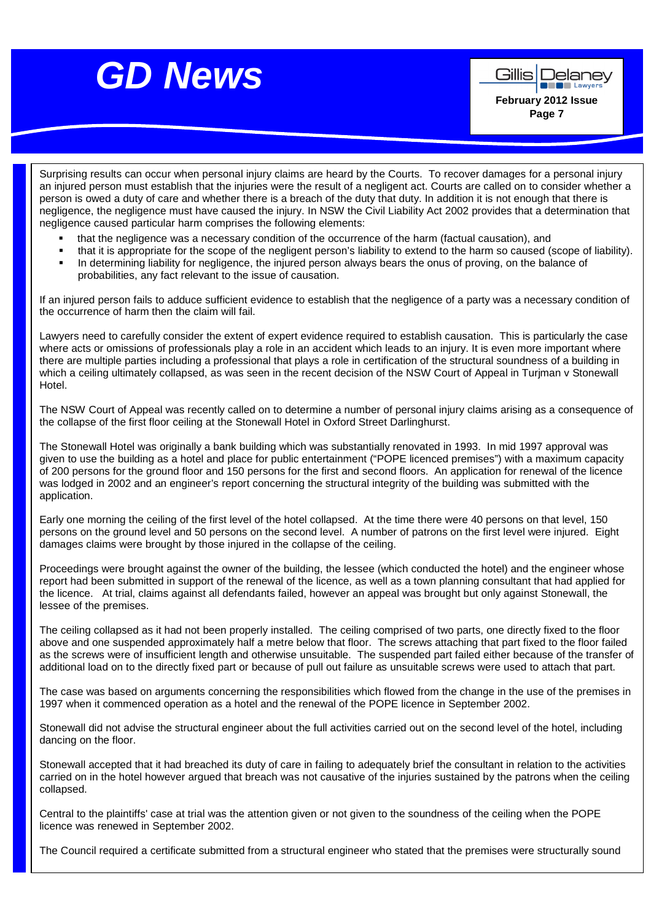

**Alle Lawyer February 2012 Issue Page 7** 

Delanev

Gillis

Surprising results can occur when personal injury claims are heard by the Courts. To recover damages for a personal injury an injured person must establish that the injuries were the result of a negligent act. Courts are called on to consider whether a person is owed a duty of care and whether there is a breach of the duty that duty. In addition it is not enough that there is negligence, the negligence must have caused the injury. In NSW the Civil Liability Act 2002 provides that a determination that negligence caused particular harm comprises the following elements:

- that the negligence was a necessary condition of the occurrence of the harm (factual causation), and
- that it is appropriate for the scope of the negligent person's liability to extend to the harm so caused (scope of liability).
- In determining liability for negligence, the injured person always bears the onus of proving, on the balance of probabilities, any fact relevant to the issue of causation.

If an injured person fails to adduce sufficient evidence to establish that the negligence of a party was a necessary condition of the occurrence of harm then the claim will fail.

Lawyers need to carefully consider the extent of expert evidence required to establish causation. This is particularly the case where acts or omissions of professionals play a role in an accident which leads to an injury. It is even more important where there are multiple parties including a professional that plays a role in certification of the structural soundness of a building in which a ceiling ultimately collapsed, as was seen in the recent decision of the NSW Court of Appeal in Turjman v Stonewall Hotel.

The NSW Court of Appeal was recently called on to determine a number of personal injury claims arising as a consequence of the collapse of the first floor ceiling at the Stonewall Hotel in Oxford Street Darlinghurst.

The Stonewall Hotel was originally a bank building which was substantially renovated in 1993. In mid 1997 approval was given to use the building as a hotel and place for public entertainment ("POPE licenced premises") with a maximum capacity of 200 persons for the ground floor and 150 persons for the first and second floors. An application for renewal of the licence was lodged in 2002 and an engineer's report concerning the structural integrity of the building was submitted with the application.

Early one morning the ceiling of the first level of the hotel collapsed. At the time there were 40 persons on that level, 150 persons on the ground level and 50 persons on the second level. A number of patrons on the first level were injured. Eight damages claims were brought by those injured in the collapse of the ceiling.

Proceedings were brought against the owner of the building, the lessee (which conducted the hotel) and the engineer whose report had been submitted in support of the renewal of the licence, as well as a town planning consultant that had applied for the licence. At trial, claims against all defendants failed, however an appeal was brought but only against Stonewall, the lessee of the premises.

The ceiling collapsed as it had not been properly installed. The ceiling comprised of two parts, one directly fixed to the floor above and one suspended approximately half a metre below that floor. The screws attaching that part fixed to the floor failed as the screws were of insufficient length and otherwise unsuitable. The suspended part failed either because of the transfer of additional load on to the directly fixed part or because of pull out failure as unsuitable screws were used to attach that part.

The case was based on arguments concerning the responsibilities which flowed from the change in the use of the premises in 1997 when it commenced operation as a hotel and the renewal of the POPE licence in September 2002.

Stonewall did not advise the structural engineer about the full activities carried out on the second level of the hotel, including dancing on the floor.

Stonewall accepted that it had breached its duty of care in failing to adequately brief the consultant in relation to the activities carried on in the hotel however argued that breach was not causative of the injuries sustained by the patrons when the ceiling collapsed.

Central to the plaintiffs' case at trial was the attention given or not given to the soundness of the ceiling when the POPE licence was renewed in September 2002.

The Council required a certificate submitted from a structural engineer who stated that the premises were structurally sound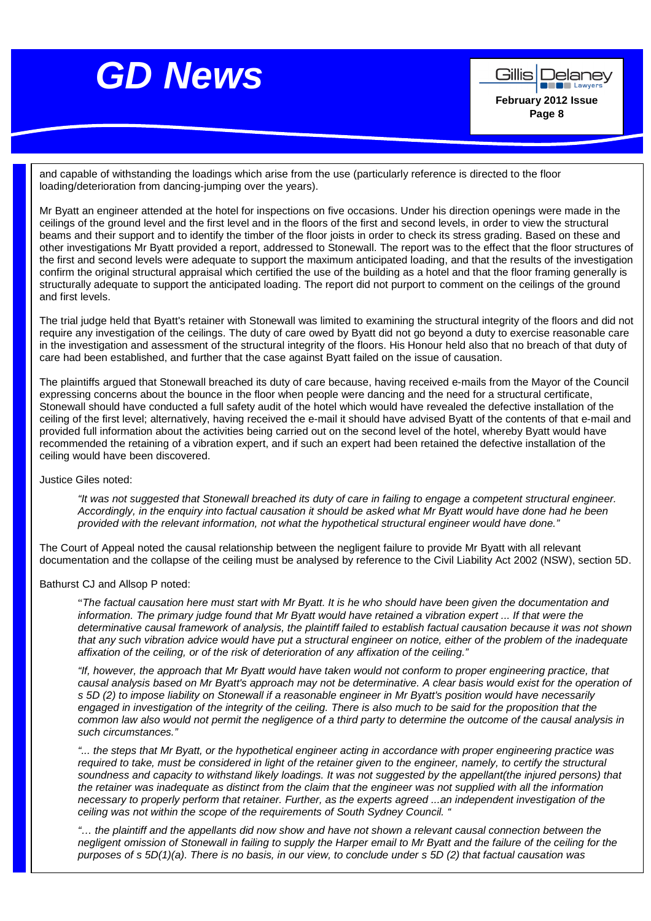

and capable of withstanding the loadings which arise from the use (particularly reference is directed to the floor loading/deterioration from dancing-jumping over the years).

Mr Byatt an engineer attended at the hotel for inspections on five occasions. Under his direction openings were made in the ceilings of the ground level and the first level and in the floors of the first and second levels, in order to view the structural beams and their support and to identify the timber of the floor joists in order to check its stress grading. Based on these and other investigations Mr Byatt provided a report, addressed to Stonewall. The report was to the effect that the floor structures of the first and second levels were adequate to support the maximum anticipated loading, and that the results of the investigation confirm the original structural appraisal which certified the use of the building as a hotel and that the floor framing generally is structurally adequate to support the anticipated loading. The report did not purport to comment on the ceilings of the ground and first levels.

The trial judge held that Byatt's retainer with Stonewall was limited to examining the structural integrity of the floors and did not require any investigation of the ceilings. The duty of care owed by Byatt did not go beyond a duty to exercise reasonable care in the investigation and assessment of the structural integrity of the floors. His Honour held also that no breach of that duty of care had been established, and further that the case against Byatt failed on the issue of causation.

The plaintiffs argued that Stonewall breached its duty of care because, having received e-mails from the Mayor of the Council expressing concerns about the bounce in the floor when people were dancing and the need for a structural certificate, Stonewall should have conducted a full safety audit of the hotel which would have revealed the defective installation of the ceiling of the first level; alternatively, having received the e-mail it should have advised Byatt of the contents of that e-mail and provided full information about the activities being carried out on the second level of the hotel, whereby Byatt would have recommended the retaining of a vibration expert, and if such an expert had been retained the defective installation of the ceiling would have been discovered.

Justice Giles noted:

"It was not suggested that Stonewall breached its duty of care in failing to engage a competent structural engineer. Accordingly, in the enquiry into factual causation it should be asked what Mr Byatt would have done had he been provided with the relevant information, not what the hypothetical structural engineer would have done."

The Court of Appeal noted the causal relationship between the negligent failure to provide Mr Byatt with all relevant documentation and the collapse of the ceiling must be analysed by reference to the Civil Liability Act 2002 (NSW), section 5D.

Bathurst CJ and Allsop P noted:

"The factual causation here must start with Mr Byatt. It is he who should have been given the documentation and information. The primary judge found that Mr Byatt would have retained a vibration expert ... If that were the determinative causal framework of analysis, the plaintiff failed to establish factual causation because it was not shown that any such vibration advice would have put a structural engineer on notice, either of the problem of the inadequate affixation of the ceiling, or of the risk of deterioration of any affixation of the ceiling."

"If, however, the approach that Mr Byatt would have taken would not conform to proper engineering practice, that causal analysis based on Mr Byatt's approach may not be determinative. A clear basis would exist for the operation of s 5D (2) to impose liability on Stonewall if a reasonable engineer in Mr Byatt's position would have necessarily engaged in investigation of the integrity of the ceiling. There is also much to be said for the proposition that the common law also would not permit the negligence of a third party to determine the outcome of the causal analysis in such circumstances."

"... the steps that Mr Byatt, or the hypothetical engineer acting in accordance with proper engineering practice was required to take, must be considered in light of the retainer given to the engineer, namely, to certify the structural soundness and capacity to withstand likely loadings. It was not suggested by the appellant(the injured persons) that the retainer was inadequate as distinct from the claim that the engineer was not supplied with all the information necessary to properly perform that retainer. Further, as the experts agreed ...an independent investigation of the ceiling was not within the scope of the requirements of South Sydney Council. "

"… the plaintiff and the appellants did now show and have not shown a relevant causal connection between the negligent omission of Stonewall in failing to supply the Harper email to Mr Byatt and the failure of the ceiling for the purposes of s 5D(1)(a). There is no basis, in our view, to conclude under s 5D (2) that factual causation was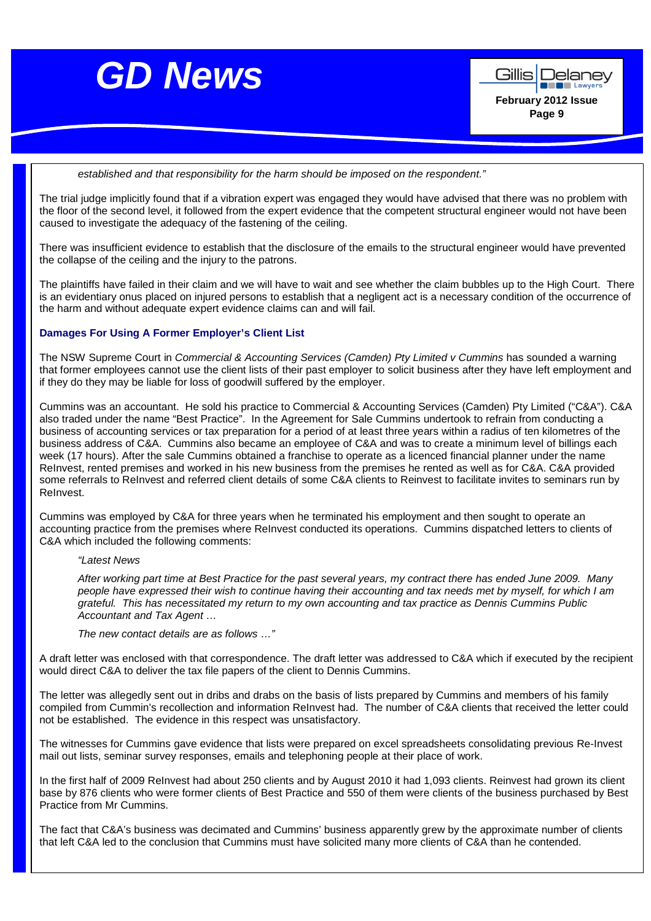



established and that responsibility for the harm should be imposed on the respondent."

The trial judge implicitly found that if a vibration expert was engaged they would have advised that there was no problem with the floor of the second level, it followed from the expert evidence that the competent structural engineer would not have been caused to investigate the adequacy of the fastening of the ceiling.

There was insufficient evidence to establish that the disclosure of the emails to the structural engineer would have prevented the collapse of the ceiling and the injury to the patrons.

The plaintiffs have failed in their claim and we will have to wait and see whether the claim bubbles up to the High Court. There is an evidentiary onus placed on injured persons to establish that a negligent act is a necessary condition of the occurrence of the harm and without adequate expert evidence claims can and will fail.

### **Damages For Using A Former Employer's Client List**

The NSW Supreme Court in Commercial & Accounting Services (Camden) Pty Limited v Cummins has sounded a warning that former employees cannot use the client lists of their past employer to solicit business after they have left employment and if they do they may be liable for loss of goodwill suffered by the employer.

Cummins was an accountant. He sold his practice to Commercial & Accounting Services (Camden) Pty Limited ("C&A"). C&A also traded under the name "Best Practice". In the Agreement for Sale Cummins undertook to refrain from conducting a business of accounting services or tax preparation for a period of at least three years within a radius of ten kilometres of the business address of C&A. Cummins also became an employee of C&A and was to create a minimum level of billings each week (17 hours). After the sale Cummins obtained a franchise to operate as a licenced financial planner under the name ReInvest, rented premises and worked in his new business from the premises he rented as well as for C&A. C&A provided some referrals to ReInvest and referred client details of some C&A clients to Reinvest to facilitate invites to seminars run by ReInvest.

Cummins was employed by C&A for three years when he terminated his employment and then sought to operate an accounting practice from the premises where ReInvest conducted its operations. Cummins dispatched letters to clients of C&A which included the following comments:

"Latest News

After working part time at Best Practice for the past several years, my contract there has ended June 2009. Many people have expressed their wish to continue having their accounting and tax needs met by myself, for which I am grateful. This has necessitated my return to my own accounting and tax practice as Dennis Cummins Public Accountant and Tax Agent …

The new contact details are as follows …"

A draft letter was enclosed with that correspondence. The draft letter was addressed to C&A which if executed by the recipient would direct C&A to deliver the tax file papers of the client to Dennis Cummins.

The letter was allegedly sent out in dribs and drabs on the basis of lists prepared by Cummins and members of his family compiled from Cummin's recollection and information ReInvest had. The number of C&A clients that received the letter could not be established. The evidence in this respect was unsatisfactory.

The witnesses for Cummins gave evidence that lists were prepared on excel spreadsheets consolidating previous Re-Invest mail out lists, seminar survey responses, emails and telephoning people at their place of work.

In the first half of 2009 ReInvest had about 250 clients and by August 2010 it had 1,093 clients. Reinvest had grown its client base by 876 clients who were former clients of Best Practice and 550 of them were clients of the business purchased by Best Practice from Mr Cummins.

The fact that C&A's business was decimated and Cummins' business apparently grew by the approximate number of clients that left C&A led to the conclusion that Cummins must have solicited many more clients of C&A than he contended.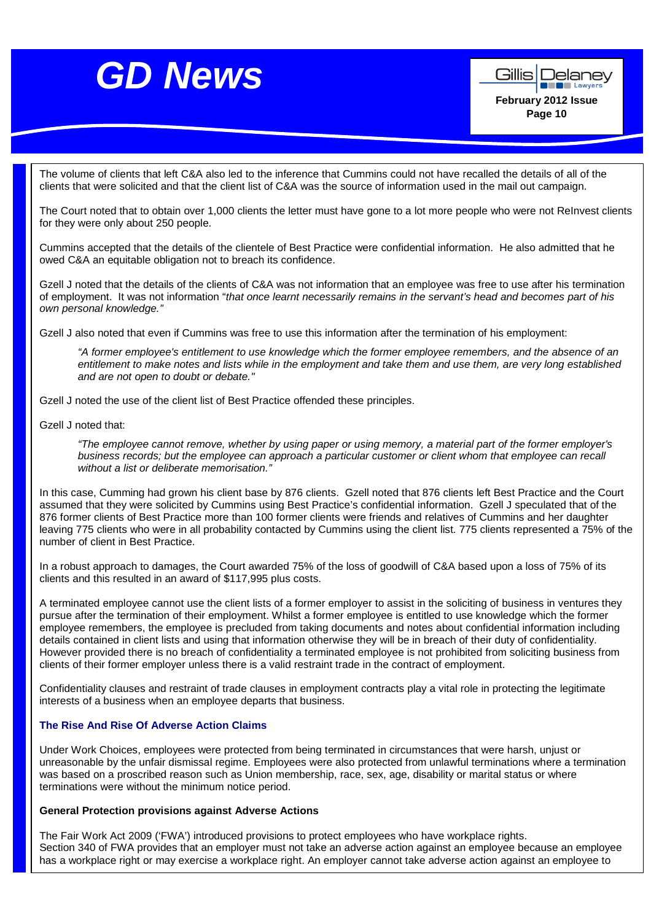Gillis | Delanev **De Lawyer February 2012 Issue Page 10** 

The volume of clients that left C&A also led to the inference that Cummins could not have recalled the details of all of the clients that were solicited and that the client list of C&A was the source of information used in the mail out campaign.

The Court noted that to obtain over 1,000 clients the letter must have gone to a lot more people who were not ReInvest clients for they were only about 250 people.

Cummins accepted that the details of the clientele of Best Practice were confidential information. He also admitted that he owed C&A an equitable obligation not to breach its confidence.

Gzell J noted that the details of the clients of C&A was not information that an employee was free to use after his termination of employment. It was not information "that once learnt necessarily remains in the servant's head and becomes part of his own personal knowledge."

Gzell J also noted that even if Cummins was free to use this information after the termination of his employment:

"A former employee's entitlement to use knowledge which the former employee remembers, and the absence of an entitlement to make notes and lists while in the employment and take them and use them, are very long established and are not open to doubt or debate."

Gzell J noted the use of the client list of Best Practice offended these principles.

Gzell J noted that:

"The employee cannot remove, whether by using paper or using memory, a material part of the former employer's business records; but the employee can approach a particular customer or client whom that employee can recall without a list or deliberate memorisation."

In this case, Cumming had grown his client base by 876 clients. Gzell noted that 876 clients left Best Practice and the Court assumed that they were solicited by Cummins using Best Practice's confidential information. Gzell J speculated that of the 876 former clients of Best Practice more than 100 former clients were friends and relatives of Cummins and her daughter leaving 775 clients who were in all probability contacted by Cummins using the client list. 775 clients represented a 75% of the number of client in Best Practice.

In a robust approach to damages, the Court awarded 75% of the loss of goodwill of C&A based upon a loss of 75% of its clients and this resulted in an award of \$117,995 plus costs.

A terminated employee cannot use the client lists of a former employer to assist in the soliciting of business in ventures they pursue after the termination of their employment. Whilst a former employee is entitled to use knowledge which the former employee remembers, the employee is precluded from taking documents and notes about confidential information including details contained in client lists and using that information otherwise they will be in breach of their duty of confidentiality. However provided there is no breach of confidentiality a terminated employee is not prohibited from soliciting business from clients of their former employer unless there is a valid restraint trade in the contract of employment.

Confidentiality clauses and restraint of trade clauses in employment contracts play a vital role in protecting the legitimate interests of a business when an employee departs that business.

### **The Rise And Rise Of Adverse Action Claims**

Under Work Choices, employees were protected from being terminated in circumstances that were harsh, unjust or unreasonable by the unfair dismissal regime. Employees were also protected from unlawful terminations where a termination was based on a proscribed reason such as Union membership, race, sex, age, disability or marital status or where terminations were without the minimum notice period.

### **General Protection provisions against Adverse Actions**

The Fair Work Act 2009 ('FWA') introduced provisions to protect employees who have workplace rights. Section 340 of FWA provides that an employer must not take an adverse action against an employee because an employee has a workplace right or may exercise a workplace right. An employer cannot take adverse action against an employee to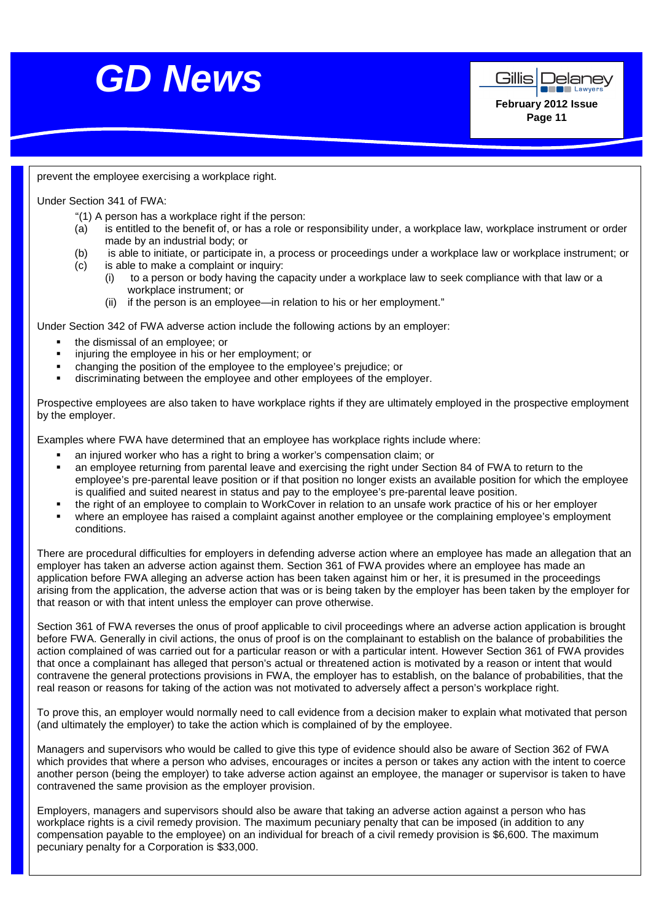

prevent the employee exercising a workplace right.

Under Section 341 of FWA:

- "(1) A person has a workplace right if the person:
- (a) is entitled to the benefit of, or has a role or responsibility under, a workplace law, workplace instrument or order made by an industrial body; or
- (b) is able to initiate, or participate in, a process or proceedings under a workplace law or workplace instrument; or
- (c) is able to make a complaint or inquiry:
	- (i) to a person or body having the capacity under a workplace law to seek compliance with that law or a workplace instrument; or
	- (ii) if the person is an employee—in relation to his or her employment."

Under Section 342 of FWA adverse action include the following actions by an employer:

- the dismissal of an employee; or
- injuring the employee in his or her employment; or
- changing the position of the employee to the employee's prejudice; or
- discriminating between the employee and other employees of the employer.

Prospective employees are also taken to have workplace rights if they are ultimately employed in the prospective employment by the employer.

Examples where FWA have determined that an employee has workplace rights include where:

- an injured worker who has a right to bring a worker's compensation claim; or
- an employee returning from parental leave and exercising the right under Section 84 of FWA to return to the employee's pre-parental leave position or if that position no longer exists an available position for which the employee is qualified and suited nearest in status and pay to the employee's pre-parental leave position.
- the right of an employee to complain to WorkCover in relation to an unsafe work practice of his or her employer
- where an employee has raised a complaint against another employee or the complaining employee's employment conditions.

There are procedural difficulties for employers in defending adverse action where an employee has made an allegation that an employer has taken an adverse action against them. Section 361 of FWA provides where an employee has made an application before FWA alleging an adverse action has been taken against him or her, it is presumed in the proceedings arising from the application, the adverse action that was or is being taken by the employer has been taken by the employer for that reason or with that intent unless the employer can prove otherwise.

Section 361 of FWA reverses the onus of proof applicable to civil proceedings where an adverse action application is brought before FWA. Generally in civil actions, the onus of proof is on the complainant to establish on the balance of probabilities the action complained of was carried out for a particular reason or with a particular intent. However Section 361 of FWA provides that once a complainant has alleged that person's actual or threatened action is motivated by a reason or intent that would contravene the general protections provisions in FWA, the employer has to establish, on the balance of probabilities, that the real reason or reasons for taking of the action was not motivated to adversely affect a person's workplace right.

To prove this, an employer would normally need to call evidence from a decision maker to explain what motivated that person (and ultimately the employer) to take the action which is complained of by the employee.

Managers and supervisors who would be called to give this type of evidence should also be aware of Section 362 of FWA which provides that where a person who advises, encourages or incites a person or takes any action with the intent to coerce another person (being the employer) to take adverse action against an employee, the manager or supervisor is taken to have contravened the same provision as the employer provision.

Employers, managers and supervisors should also be aware that taking an adverse action against a person who has workplace rights is a civil remedy provision. The maximum pecuniary penalty that can be imposed (in addition to any compensation payable to the employee) on an individual for breach of a civil remedy provision is \$6,600. The maximum pecuniary penalty for a Corporation is \$33,000.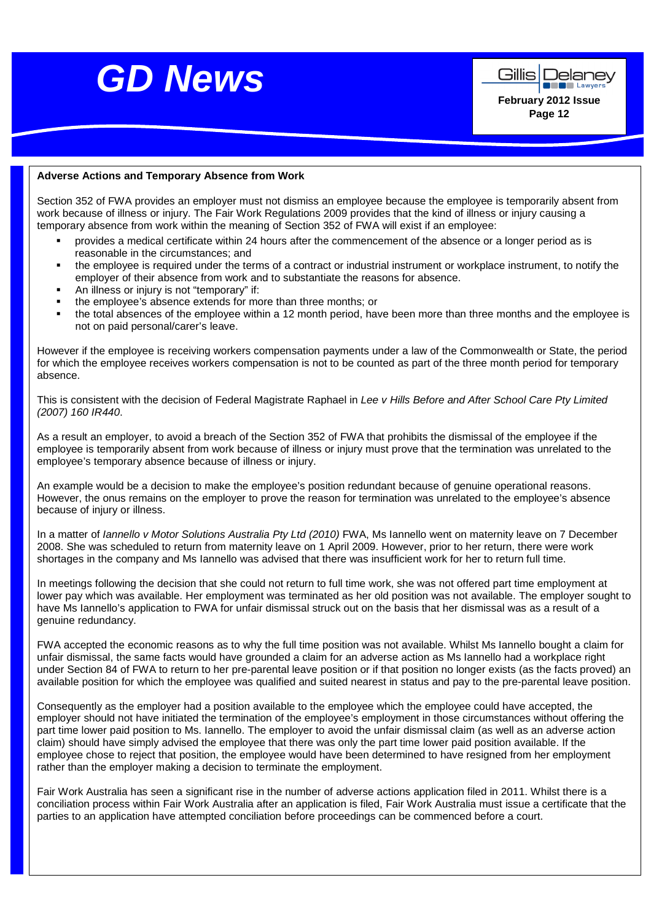



**Page 12** 

## **Adverse Actions and Temporary Absence from Work**

Section 352 of FWA provides an employer must not dismiss an employee because the employee is temporarily absent from work because of illness or injury. The Fair Work Regulations 2009 provides that the kind of illness or injury causing a temporary absence from work within the meaning of Section 352 of FWA will exist if an employee:

- provides a medical certificate within 24 hours after the commencement of the absence or a longer period as is reasonable in the circumstances; and
- the employee is required under the terms of a contract or industrial instrument or workplace instrument, to notify the employer of their absence from work and to substantiate the reasons for absence.
- An illness or injury is not "temporary" if:
- the employee's absence extends for more than three months; or
- the total absences of the employee within a 12 month period, have been more than three months and the employee is not on paid personal/carer's leave.

However if the employee is receiving workers compensation payments under a law of the Commonwealth or State, the period for which the employee receives workers compensation is not to be counted as part of the three month period for temporary absence.

This is consistent with the decision of Federal Magistrate Raphael in Lee v Hills Before and After School Care Pty Limited (2007) 160 IR440.

As a result an employer, to avoid a breach of the Section 352 of FWA that prohibits the dismissal of the employee if the employee is temporarily absent from work because of illness or injury must prove that the termination was unrelated to the employee's temporary absence because of illness or injury.

An example would be a decision to make the employee's position redundant because of genuine operational reasons. However, the onus remains on the employer to prove the reason for termination was unrelated to the employee's absence because of injury or illness.

In a matter of *Iannello v Motor Solutions Australia Pty Ltd (2010)* FWA, Ms Iannello went on maternity leave on 7 December 2008. She was scheduled to return from maternity leave on 1 April 2009. However, prior to her return, there were work shortages in the company and Ms Iannello was advised that there was insufficient work for her to return full time.

In meetings following the decision that she could not return to full time work, she was not offered part time employment at lower pay which was available. Her employment was terminated as her old position was not available. The employer sought to have Ms Iannello's application to FWA for unfair dismissal struck out on the basis that her dismissal was as a result of a genuine redundancy.

FWA accepted the economic reasons as to why the full time position was not available. Whilst Ms Iannello bought a claim for unfair dismissal, the same facts would have grounded a claim for an adverse action as Ms Iannello had a workplace right under Section 84 of FWA to return to her pre-parental leave position or if that position no longer exists (as the facts proved) an available position for which the employee was qualified and suited nearest in status and pay to the pre-parental leave position.

Consequently as the employer had a position available to the employee which the employee could have accepted, the employer should not have initiated the termination of the employee's employment in those circumstances without offering the part time lower paid position to Ms. Iannello. The employer to avoid the unfair dismissal claim (as well as an adverse action claim) should have simply advised the employee that there was only the part time lower paid position available. If the employee chose to reject that position, the employee would have been determined to have resigned from her employment rather than the employer making a decision to terminate the employment.

Fair Work Australia has seen a significant rise in the number of adverse actions application filed in 2011. Whilst there is a conciliation process within Fair Work Australia after an application is filed, Fair Work Australia must issue a certificate that the parties to an application have attempted conciliation before proceedings can be commenced before a court.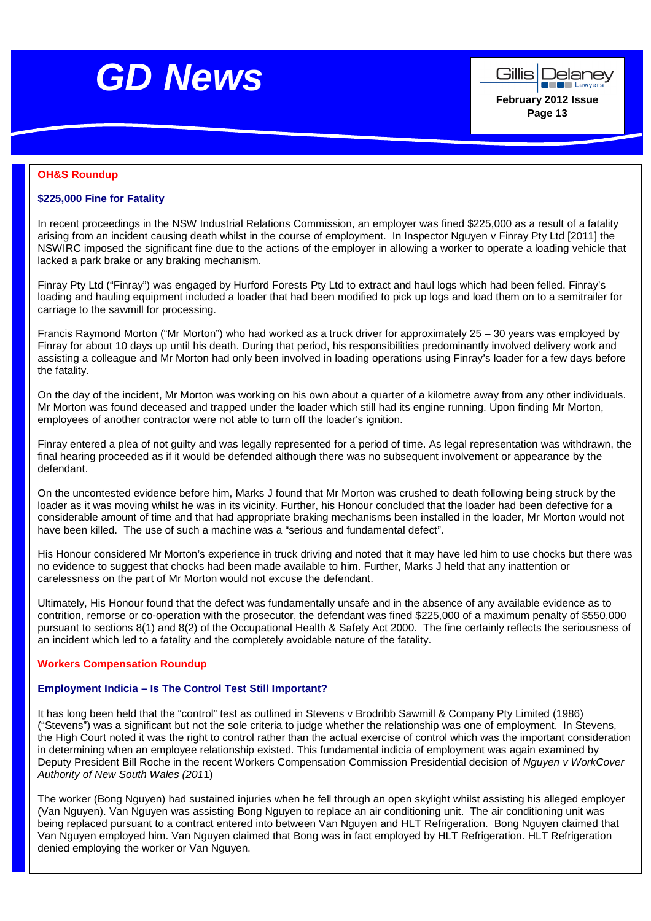



## **OH&S Roundup**

### **\$225,000 Fine for Fatality**

In recent proceedings in the NSW Industrial Relations Commission, an employer was fined \$225,000 as a result of a fatality arising from an incident causing death whilst in the course of employment. In Inspector Nguyen v Finray Pty Ltd [2011] the NSWIRC imposed the significant fine due to the actions of the employer in allowing a worker to operate a loading vehicle that lacked a park brake or any braking mechanism.

Finray Pty Ltd ("Finray") was engaged by Hurford Forests Pty Ltd to extract and haul logs which had been felled. Finray's loading and hauling equipment included a loader that had been modified to pick up logs and load them on to a semitrailer for carriage to the sawmill for processing.

Francis Raymond Morton ("Mr Morton") who had worked as a truck driver for approximately 25 – 30 years was employed by Finray for about 10 days up until his death. During that period, his responsibilities predominantly involved delivery work and assisting a colleague and Mr Morton had only been involved in loading operations using Finray's loader for a few days before the fatality.

On the day of the incident, Mr Morton was working on his own about a quarter of a kilometre away from any other individuals. Mr Morton was found deceased and trapped under the loader which still had its engine running. Upon finding Mr Morton, employees of another contractor were not able to turn off the loader's ignition.

Finray entered a plea of not guilty and was legally represented for a period of time. As legal representation was withdrawn, the final hearing proceeded as if it would be defended although there was no subsequent involvement or appearance by the defendant.

On the uncontested evidence before him, Marks J found that Mr Morton was crushed to death following being struck by the loader as it was moving whilst he was in its vicinity. Further, his Honour concluded that the loader had been defective for a considerable amount of time and that had appropriate braking mechanisms been installed in the loader, Mr Morton would not have been killed. The use of such a machine was a "serious and fundamental defect".

His Honour considered Mr Morton's experience in truck driving and noted that it may have led him to use chocks but there was no evidence to suggest that chocks had been made available to him. Further, Marks J held that any inattention or carelessness on the part of Mr Morton would not excuse the defendant.

Ultimately, His Honour found that the defect was fundamentally unsafe and in the absence of any available evidence as to contrition, remorse or co-operation with the prosecutor, the defendant was fined \$225,000 of a maximum penalty of \$550,000 pursuant to sections 8(1) and 8(2) of the Occupational Health & Safety Act 2000. The fine certainly reflects the seriousness of an incident which led to a fatality and the completely avoidable nature of the fatality.

### **Workers Compensation Roundup**

### **Employment Indicia – Is The Control Test Still Important?**

It has long been held that the "control" test as outlined in Stevens v Brodribb Sawmill & Company Pty Limited (1986) ("Stevens") was a significant but not the sole criteria to judge whether the relationship was one of employment. In Stevens, the High Court noted it was the right to control rather than the actual exercise of control which was the important consideration in determining when an employee relationship existed. This fundamental indicia of employment was again examined by Deputy President Bill Roche in the recent Workers Compensation Commission Presidential decision of Nguyen v WorkCover Authority of New South Wales (2011)

The worker (Bong Nguyen) had sustained injuries when he fell through an open skylight whilst assisting his alleged employer (Van Nguyen). Van Nguyen was assisting Bong Nguyen to replace an air conditioning unit. The air conditioning unit was being replaced pursuant to a contract entered into between Van Nguyen and HLT Refrigeration. Bong Nguyen claimed that Van Nguyen employed him. Van Nguyen claimed that Bong was in fact employed by HLT Refrigeration. HLT Refrigeration denied employing the worker or Van Nguyen.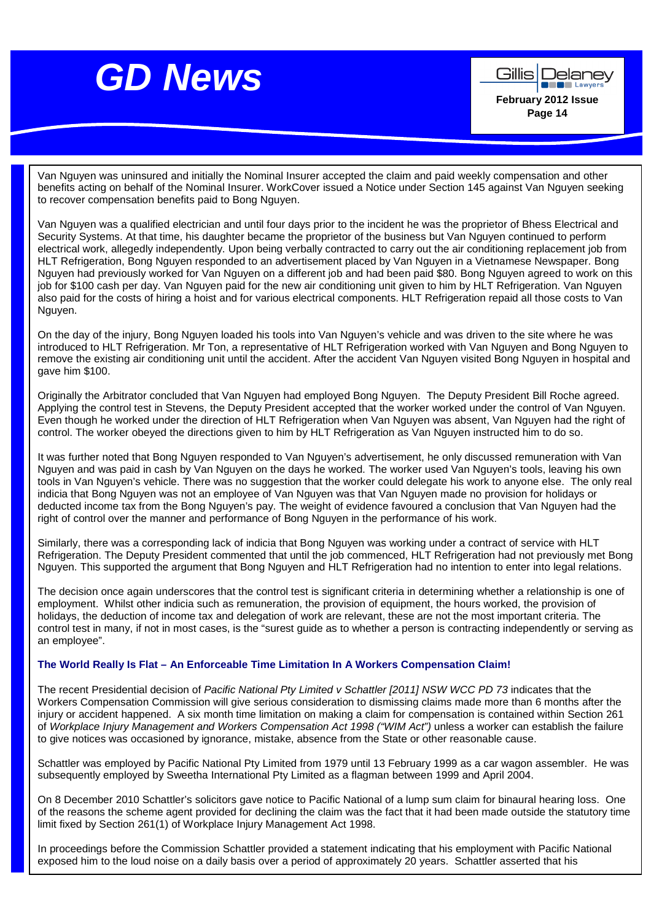

Gillis Delaney **Lawyer February 2012 Issue Page 14** 

Van Nguyen was uninsured and initially the Nominal Insurer accepted the claim and paid weekly compensation and other benefits acting on behalf of the Nominal Insurer. WorkCover issued a Notice under Section 145 against Van Nguyen seeking to recover compensation benefits paid to Bong Nguyen.

Van Nguyen was a qualified electrician and until four days prior to the incident he was the proprietor of Bhess Electrical and Security Systems. At that time, his daughter became the proprietor of the business but Van Nguyen continued to perform electrical work, allegedly independently. Upon being verbally contracted to carry out the air conditioning replacement job from HLT Refrigeration, Bong Nguyen responded to an advertisement placed by Van Nguyen in a Vietnamese Newspaper. Bong Nguyen had previously worked for Van Nguyen on a different job and had been paid \$80. Bong Nguyen agreed to work on this job for \$100 cash per day. Van Nguyen paid for the new air conditioning unit given to him by HLT Refrigeration. Van Nguyen also paid for the costs of hiring a hoist and for various electrical components. HLT Refrigeration repaid all those costs to Van Nguyen.

On the day of the injury, Bong Nguyen loaded his tools into Van Nguyen's vehicle and was driven to the site where he was introduced to HLT Refrigeration. Mr Ton, a representative of HLT Refrigeration worked with Van Nguyen and Bong Nguyen to remove the existing air conditioning unit until the accident. After the accident Van Nguyen visited Bong Nguyen in hospital and gave him \$100.

Originally the Arbitrator concluded that Van Nguyen had employed Bong Nguyen. The Deputy President Bill Roche agreed. Applying the control test in Stevens, the Deputy President accepted that the worker worked under the control of Van Nguyen. Even though he worked under the direction of HLT Refrigeration when Van Nguyen was absent, Van Nguyen had the right of control. The worker obeyed the directions given to him by HLT Refrigeration as Van Nguyen instructed him to do so.

It was further noted that Bong Nguyen responded to Van Nguyen's advertisement, he only discussed remuneration with Van Nguyen and was paid in cash by Van Nguyen on the days he worked. The worker used Van Nguyen's tools, leaving his own tools in Van Nguyen's vehicle. There was no suggestion that the worker could delegate his work to anyone else. The only real indicia that Bong Nguyen was not an employee of Van Nguyen was that Van Nguyen made no provision for holidays or deducted income tax from the Bong Nguyen's pay. The weight of evidence favoured a conclusion that Van Nguyen had the right of control over the manner and performance of Bong Nguyen in the performance of his work.

Similarly, there was a corresponding lack of indicia that Bong Nguyen was working under a contract of service with HLT Refrigeration. The Deputy President commented that until the job commenced, HLT Refrigeration had not previously met Bong Nguyen. This supported the argument that Bong Nguyen and HLT Refrigeration had no intention to enter into legal relations.

The decision once again underscores that the control test is significant criteria in determining whether a relationship is one of employment. Whilst other indicia such as remuneration, the provision of equipment, the hours worked, the provision of holidays, the deduction of income tax and delegation of work are relevant, these are not the most important criteria. The control test in many, if not in most cases, is the "surest guide as to whether a person is contracting independently or serving as an employee".

### **The World Really Is Flat – An Enforceable Time Limitation In A Workers Compensation Claim!**

The recent Presidential decision of Pacific National Pty Limited v Schattler [2011] NSW WCC PD 73 indicates that the Workers Compensation Commission will give serious consideration to dismissing claims made more than 6 months after the injury or accident happened. A six month time limitation on making a claim for compensation is contained within Section 261 of Workplace Injury Management and Workers Compensation Act 1998 ("WIM Act") unless a worker can establish the failure to give notices was occasioned by ignorance, mistake, absence from the State or other reasonable cause.

Schattler was employed by Pacific National Pty Limited from 1979 until 13 February 1999 as a car wagon assembler. He was subsequently employed by Sweetha International Pty Limited as a flagman between 1999 and April 2004.

On 8 December 2010 Schattler's solicitors gave notice to Pacific National of a lump sum claim for binaural hearing loss. One of the reasons the scheme agent provided for declining the claim was the fact that it had been made outside the statutory time limit fixed by Section 261(1) of Workplace Injury Management Act 1998.

In proceedings before the Commission Schattler provided a statement indicating that his employment with Pacific National exposed him to the loud noise on a daily basis over a period of approximately 20 years. Schattler asserted that his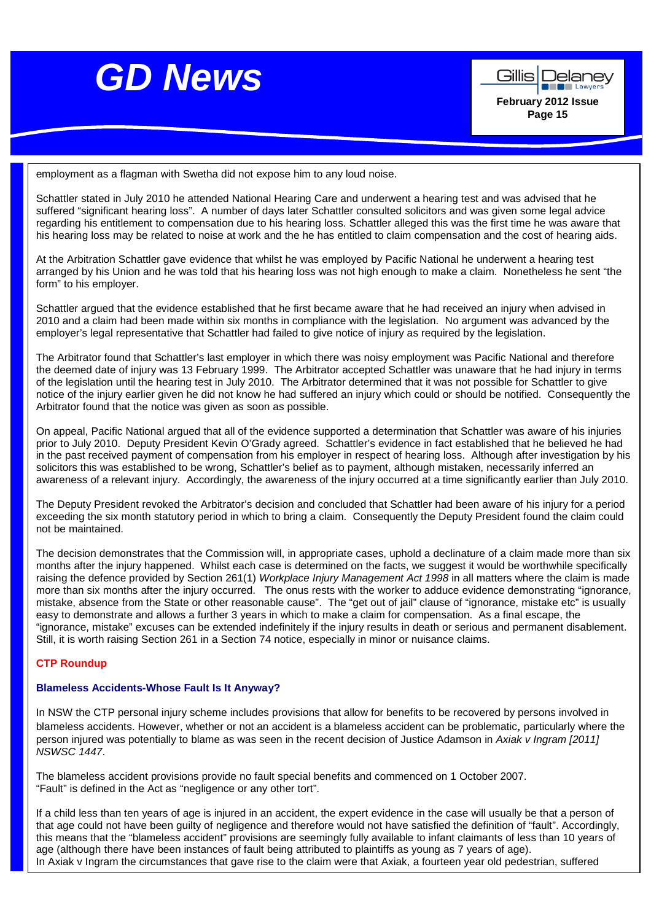



employment as a flagman with Swetha did not expose him to any loud noise.

Schattler stated in July 2010 he attended National Hearing Care and underwent a hearing test and was advised that he suffered "significant hearing loss". A number of days later Schattler consulted solicitors and was given some legal advice regarding his entitlement to compensation due to his hearing loss. Schattler alleged this was the first time he was aware that his hearing loss may be related to noise at work and the he has entitled to claim compensation and the cost of hearing aids.

At the Arbitration Schattler gave evidence that whilst he was employed by Pacific National he underwent a hearing test arranged by his Union and he was told that his hearing loss was not high enough to make a claim. Nonetheless he sent "the form" to his employer.

Schattler argued that the evidence established that he first became aware that he had received an injury when advised in 2010 and a claim had been made within six months in compliance with the legislation. No argument was advanced by the employer's legal representative that Schattler had failed to give notice of injury as required by the legislation.

The Arbitrator found that Schattler's last employer in which there was noisy employment was Pacific National and therefore the deemed date of injury was 13 February 1999. The Arbitrator accepted Schattler was unaware that he had injury in terms of the legislation until the hearing test in July 2010. The Arbitrator determined that it was not possible for Schattler to give notice of the injury earlier given he did not know he had suffered an injury which could or should be notified. Consequently the Arbitrator found that the notice was given as soon as possible.

On appeal, Pacific National argued that all of the evidence supported a determination that Schattler was aware of his injuries prior to July 2010. Deputy President Kevin O'Grady agreed. Schattler's evidence in fact established that he believed he had in the past received payment of compensation from his employer in respect of hearing loss. Although after investigation by his solicitors this was established to be wrong, Schattler's belief as to payment, although mistaken, necessarily inferred an awareness of a relevant injury. Accordingly, the awareness of the injury occurred at a time significantly earlier than July 2010.

The Deputy President revoked the Arbitrator's decision and concluded that Schattler had been aware of his injury for a period exceeding the six month statutory period in which to bring a claim. Consequently the Deputy President found the claim could not be maintained.

The decision demonstrates that the Commission will, in appropriate cases, uphold a declinature of a claim made more than six months after the injury happened. Whilst each case is determined on the facts, we suggest it would be worthwhile specifically raising the defence provided by Section 261(1) Workplace Injury Management Act 1998 in all matters where the claim is made more than six months after the injury occurred. The onus rests with the worker to adduce evidence demonstrating "ignorance, mistake, absence from the State or other reasonable cause". The "get out of jail" clause of "ignorance, mistake etc" is usually easy to demonstrate and allows a further 3 years in which to make a claim for compensation. As a final escape, the "ignorance, mistake" excuses can be extended indefinitely if the injury results in death or serious and permanent disablement. Still, it is worth raising Section 261 in a Section 74 notice, especially in minor or nuisance claims.

### **CTP Roundup**

### **Blameless Accidents-Whose Fault Is It Anyway?**

In NSW the CTP personal injury scheme includes provisions that allow for benefits to be recovered by persons involved in blameless accidents. However, whether or not an accident is a blameless accident can be problematic, particularly where the person injured was potentially to blame as was seen in the recent decision of Justice Adamson in Axiak v Ingram [2011] NSWSC 1447.

The blameless accident provisions provide no fault special benefits and commenced on 1 October 2007. "Fault" is defined in the Act as "negligence or any other tort".

If a child less than ten years of age is injured in an accident, the expert evidence in the case will usually be that a person of that age could not have been guilty of negligence and therefore would not have satisfied the definition of "fault". Accordingly, this means that the "blameless accident" provisions are seemingly fully available to infant claimants of less than 10 years of age (although there have been instances of fault being attributed to plaintiffs as young as 7 years of age). In Axiak v Ingram the circumstances that gave rise to the claim were that Axiak, a fourteen year old pedestrian, suffered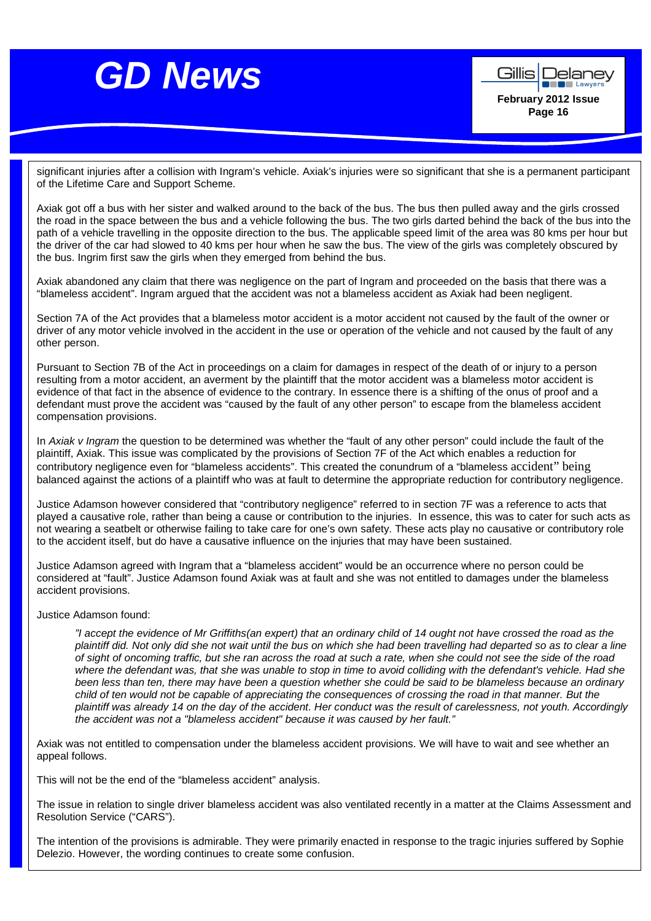



significant injuries after a collision with Ingram's vehicle. Axiak's injuries were so significant that she is a permanent participant of the Lifetime Care and Support Scheme.

Axiak got off a bus with her sister and walked around to the back of the bus. The bus then pulled away and the girls crossed the road in the space between the bus and a vehicle following the bus. The two girls darted behind the back of the bus into the path of a vehicle travelling in the opposite direction to the bus. The applicable speed limit of the area was 80 kms per hour but the driver of the car had slowed to 40 kms per hour when he saw the bus. The view of the girls was completely obscured by the bus. Ingrim first saw the girls when they emerged from behind the bus.

Axiak abandoned any claim that there was negligence on the part of Ingram and proceeded on the basis that there was a "blameless accident". Ingram argued that the accident was not a blameless accident as Axiak had been negligent.

Section 7A of the Act provides that a blameless motor accident is a motor accident not caused by the fault of the owner or driver of any motor vehicle involved in the accident in the use or operation of the vehicle and not caused by the fault of any other person.

Pursuant to Section 7B of the Act in proceedings on a claim for damages in respect of the death of or injury to a person resulting from a motor accident, an averment by the plaintiff that the motor accident was a blameless motor accident is evidence of that fact in the absence of evidence to the contrary. In essence there is a shifting of the onus of proof and a defendant must prove the accident was "caused by the fault of any other person" to escape from the blameless accident compensation provisions.

In Axiak v Ingram the question to be determined was whether the "fault of any other person" could include the fault of the plaintiff, Axiak. This issue was complicated by the provisions of Section 7F of the Act which enables a reduction for contributory negligence even for "blameless accidents". This created the conundrum of a "blameless accident" being balanced against the actions of a plaintiff who was at fault to determine the appropriate reduction for contributory negligence.

Justice Adamson however considered that "contributory negligence" referred to in section 7F was a reference to acts that played a causative role, rather than being a cause or contribution to the injuries. In essence, this was to cater for such acts as not wearing a seatbelt or otherwise failing to take care for one's own safety. These acts play no causative or contributory role to the accident itself, but do have a causative influence on the injuries that may have been sustained.

Justice Adamson agreed with Ingram that a "blameless accident" would be an occurrence where no person could be considered at "fault". Justice Adamson found Axiak was at fault and she was not entitled to damages under the blameless accident provisions.

### Justice Adamson found:

"I accept the evidence of Mr Griffiths(an expert) that an ordinary child of 14 ought not have crossed the road as the plaintiff did. Not only did she not wait until the bus on which she had been travelling had departed so as to clear a line of sight of oncoming traffic, but she ran across the road at such a rate, when she could not see the side of the road where the defendant was, that she was unable to stop in time to avoid colliding with the defendant's vehicle. Had she been less than ten, there may have been a question whether she could be said to be blameless because an ordinary child of ten would not be capable of appreciating the consequences of crossing the road in that manner. But the plaintiff was already 14 on the day of the accident. Her conduct was the result of carelessness, not youth. Accordingly the accident was not a "blameless accident" because it was caused by her fault."

Axiak was not entitled to compensation under the blameless accident provisions. We will have to wait and see whether an appeal follows.

This will not be the end of the "blameless accident" analysis.

The issue in relation to single driver blameless accident was also ventilated recently in a matter at the Claims Assessment and Resolution Service ("CARS").

The intention of the provisions is admirable. They were primarily enacted in response to the tragic injuries suffered by Sophie Delezio. However, the wording continues to create some confusion.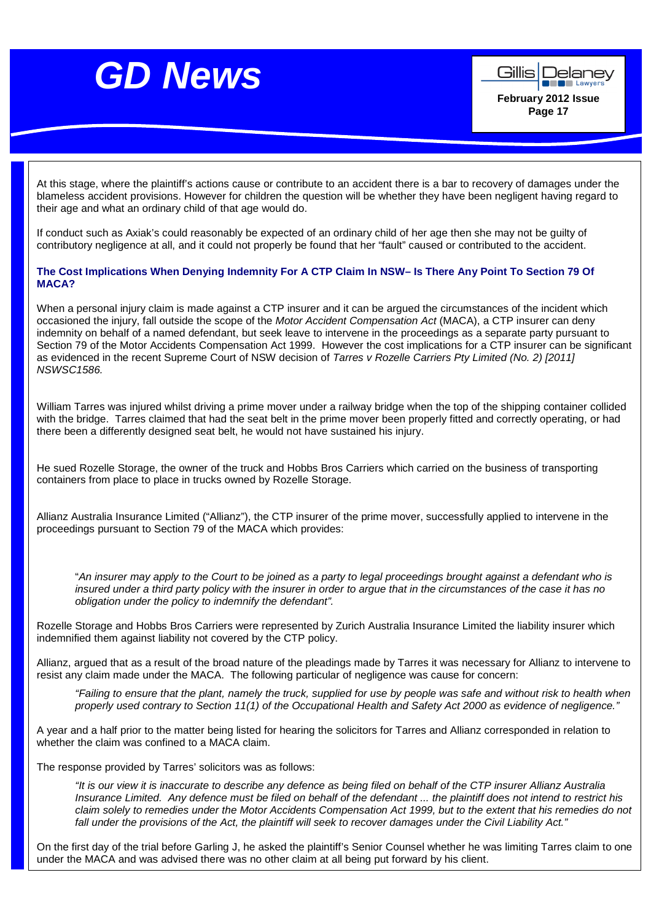



At this stage, where the plaintiff's actions cause or contribute to an accident there is a bar to recovery of damages under the blameless accident provisions. However for children the question will be whether they have been negligent having regard to their age and what an ordinary child of that age would do.

If conduct such as Axiak's could reasonably be expected of an ordinary child of her age then she may not be guilty of contributory negligence at all, and it could not properly be found that her "fault" caused or contributed to the accident.

### **The Cost Implications When Denying Indemnity For A CTP Claim In NSW– Is There Any Point To Section 79 Of MACA?**

When a personal injury claim is made against a CTP insurer and it can be argued the circumstances of the incident which occasioned the injury, fall outside the scope of the Motor Accident Compensation Act (MACA), a CTP insurer can deny indemnity on behalf of a named defendant, but seek leave to intervene in the proceedings as a separate party pursuant to Section 79 of the Motor Accidents Compensation Act 1999. However the cost implications for a CTP insurer can be significant as evidenced in the recent Supreme Court of NSW decision of Tarres v Rozelle Carriers Pty Limited (No. 2) [2011] NSWSC1586.

William Tarres was injured whilst driving a prime mover under a railway bridge when the top of the shipping container collided with the bridge. Tarres claimed that had the seat belt in the prime mover been properly fitted and correctly operating, or had there been a differently designed seat belt, he would not have sustained his injury.

He sued Rozelle Storage, the owner of the truck and Hobbs Bros Carriers which carried on the business of transporting containers from place to place in trucks owned by Rozelle Storage.

Allianz Australia Insurance Limited ("Allianz"), the CTP insurer of the prime mover, successfully applied to intervene in the proceedings pursuant to Section 79 of the MACA which provides:

"An insurer may apply to the Court to be joined as a party to legal proceedings brought against a defendant who is insured under a third party policy with the insurer in order to argue that in the circumstances of the case it has no obligation under the policy to indemnify the defendant".

Rozelle Storage and Hobbs Bros Carriers were represented by Zurich Australia Insurance Limited the liability insurer which indemnified them against liability not covered by the CTP policy.

Allianz, argued that as a result of the broad nature of the pleadings made by Tarres it was necessary for Allianz to intervene to resist any claim made under the MACA. The following particular of negligence was cause for concern:

"Failing to ensure that the plant, namely the truck, supplied for use by people was safe and without risk to health when properly used contrary to Section 11(1) of the Occupational Health and Safety Act 2000 as evidence of negligence."

A year and a half prior to the matter being listed for hearing the solicitors for Tarres and Allianz corresponded in relation to whether the claim was confined to a MACA claim.

The response provided by Tarres' solicitors was as follows:

"It is our view it is inaccurate to describe any defence as being filed on behalf of the CTP insurer Allianz Australia Insurance Limited. Any defence must be filed on behalf of the defendant ... the plaintiff does not intend to restrict his claim solely to remedies under the Motor Accidents Compensation Act 1999, but to the extent that his remedies do not fall under the provisions of the Act, the plaintiff will seek to recover damages under the Civil Liability Act."

On the first day of the trial before Garling J, he asked the plaintiff's Senior Counsel whether he was limiting Tarres claim to one under the MACA and was advised there was no other claim at all being put forward by his client.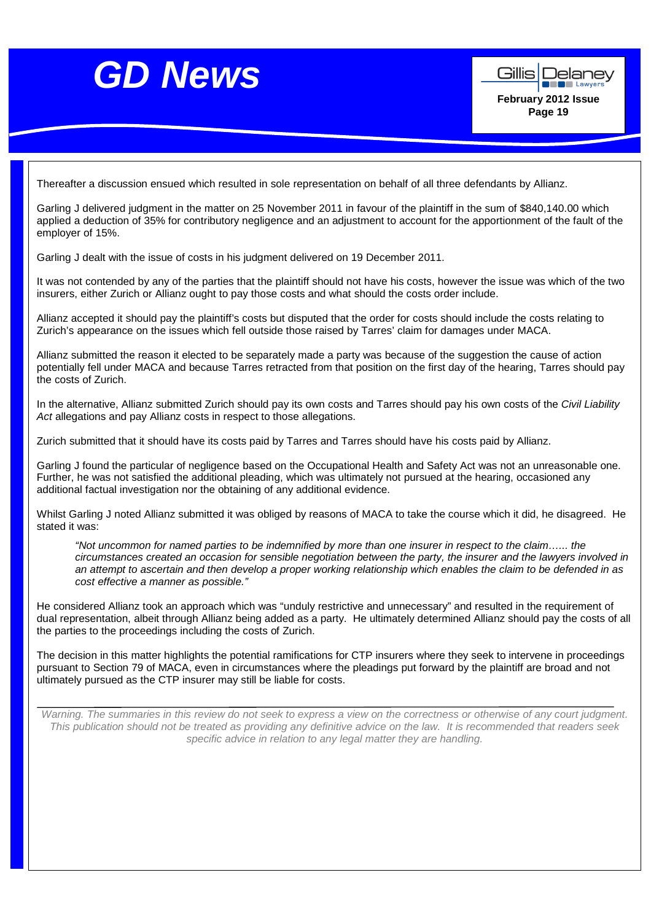



Thereafter a discussion ensued which resulted in sole representation on behalf of all three defendants by Allianz.

Garling J delivered judgment in the matter on 25 November 2011 in favour of the plaintiff in the sum of \$840,140.00 which applied a deduction of 35% for contributory negligence and an adjustment to account for the apportionment of the fault of the employer of 15%.

Garling J dealt with the issue of costs in his judgment delivered on 19 December 2011.

It was not contended by any of the parties that the plaintiff should not have his costs, however the issue was which of the two insurers, either Zurich or Allianz ought to pay those costs and what should the costs order include.

Allianz accepted it should pay the plaintiff's costs but disputed that the order for costs should include the costs relating to Zurich's appearance on the issues which fell outside those raised by Tarres' claim for damages under MACA.

Allianz submitted the reason it elected to be separately made a party was because of the suggestion the cause of action potentially fell under MACA and because Tarres retracted from that position on the first day of the hearing, Tarres should pay the costs of Zurich.

In the alternative, Allianz submitted Zurich should pay its own costs and Tarres should pay his own costs of the Civil Liability Act allegations and pay Allianz costs in respect to those allegations.

Zurich submitted that it should have its costs paid by Tarres and Tarres should have his costs paid by Allianz.

Garling J found the particular of negligence based on the Occupational Health and Safety Act was not an unreasonable one. Further, he was not satisfied the additional pleading, which was ultimately not pursued at the hearing, occasioned any additional factual investigation nor the obtaining of any additional evidence.

Whilst Garling J noted Allianz submitted it was obliged by reasons of MACA to take the course which it did, he disagreed. He stated it was:

"Not uncommon for named parties to be indemnified by more than one insurer in respect to the claim…... the circumstances created an occasion for sensible negotiation between the party, the insurer and the lawyers involved in an attempt to ascertain and then develop a proper working relationship which enables the claim to be defended in as cost effective a manner as possible."

He considered Allianz took an approach which was "unduly restrictive and unnecessary" and resulted in the requirement of dual representation, albeit through Allianz being added as a party. He ultimately determined Allianz should pay the costs of all the parties to the proceedings including the costs of Zurich.

The decision in this matter highlights the potential ramifications for CTP insurers where they seek to intervene in proceedings pursuant to Section 79 of MACA, even in circumstances where the pleadings put forward by the plaintiff are broad and not ultimately pursued as the CTP insurer may still be liable for costs.

Warning. The summaries in this review do not seek to express a view on the correctness or otherwise of any court judgment. This publication should not be treated as providing any definitive advice on the law. It is recommended that readers seek specific advice in relation to any legal matter they are handling.